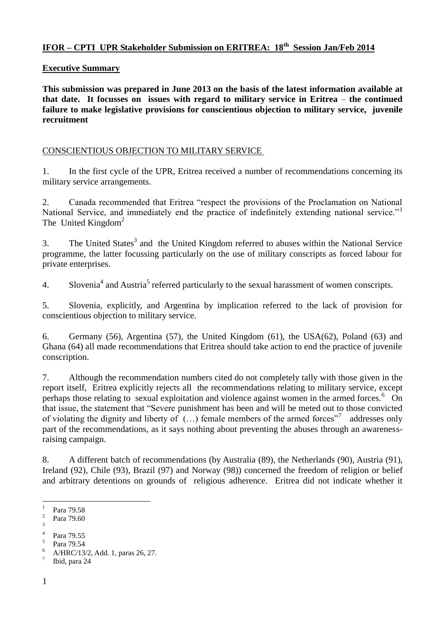# **IFOR – CPTI UPR Stakeholder Submission on ERITREA: 18th Session Jan/Feb 2014**

#### **Executive Summary**

**This submission was prepared in June 2013 on the basis of the latest information available at that date. It focusses on issues with regard to military service in Eritrea** – **the continued failure to make legislative provisions for conscientious objection to military service, juvenile recruitment**

### CONSCIENTIOUS OBJECTION TO MILITARY SERVICE

1. In the first cycle of the UPR, Eritrea received a number of recommendations concerning its military service arrangements.

2. Canada recommended that Eritrea "respect the provisions of the Proclamation on National National Service, and immediately end the practice of indefinitely extending national service."<sup>1</sup> The United Kingdom<sup>2</sup>

3. The United States<sup>3</sup> and the United Kingdom referred to abuses within the National Service programme, the latter focussing particularly on the use of military conscripts as forced labour for private enterprises.

4. Slovenia<sup>4</sup> and Austria<sup>5</sup> referred particularly to the sexual harassment of women conscripts.

5. Slovenia, explicitly, and Argentina by implication referred to the lack of provision for conscientious objection to military service.

6. Germany (56), Argentina (57), the United Kingdom (61), the USA(62), Poland (63) and Ghana (64) all made recommendations that Eritrea should take action to end the practice of juvenile conscription.

7. Although the recommendation numbers cited do not completely tally with those given in the report itself, Eritrea explicitly rejects all the recommendations relating to military service, except perhaps those relating to sexual exploitation and violence against women in the armed forces.<sup>6</sup> On that issue, the statement that "Severe punishment has been and will be meted out to those convicted of violating the dignity and liberty of  $(...)$  female members of the armed forces"<sup>7</sup> addresses only part of the recommendations, as it says nothing about preventing the abuses through an awarenessraising campaign.

8. A different batch of recommendations (by Australia (89), the Netherlands (90), Austria (91), Ireland (92), Chile (93), Brazil (97) and Norway (98)) concerned the freedom of religion or belief and arbitrary detentions on grounds of religious adherence. Eritrea did not indicate whether it

5 Para 79.54 <sup>6</sup> A/HRC/13/2, Add. 1, paras 26, 27.

 $\frac{1}{1}$ Para 79.58 2

Para 79.60 3

<sup>4</sup>

Para 79.55

<sup>7</sup> Ibid, para 24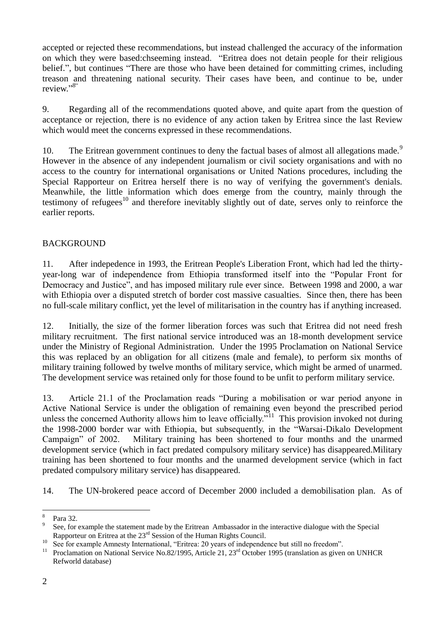accepted or rejected these recommendations, but instead challenged the accuracy of the information on which they were based:chseeming instead. "Eritrea does not detain people for their religious belief.", but continues "There are those who have been detained for committing crimes, including treason and threatening national security. Their cases have been, and continue to be, under review."<sup>8"</sup>

9. Regarding all of the recommendations quoted above, and quite apart from the question of acceptance or rejection, there is no evidence of any action taken by Eritrea since the last Review which would meet the concerns expressed in these recommendations.

10. The Eritrean government continues to deny the factual bases of almost all allegations made.<sup>9</sup> However in the absence of any independent journalism or civil society organisations and with no access to the country for international organisations or United Nations procedures, including the Special Rapporteur on Eritrea herself there is no way of verifying the government's denials. Meanwhile, the little information which does emerge from the country, mainly through the testimony of refugees<sup>10</sup> and therefore inevitably slightly out of date, serves only to reinforce the earlier reports.

## BACKGROUND

11. After indepedence in 1993, the Eritrean People's Liberation Front, which had led the thirtyyear-long war of independence from Ethiopia transformed itself into the "Popular Front for Democracy and Justice", and has imposed military rule ever since. Between 1998 and 2000, a war with Ethiopia over a disputed stretch of border cost massive casualties. Since then, there has been no full-scale military conflict, yet the level of militarisation in the country has if anything increased.

12. Initially, the size of the former liberation forces was such that Eritrea did not need fresh military recruitment. The first national service introduced was an 18-month development service under the Ministry of Regional Administration. Under the 1995 Proclamation on National Service this was replaced by an obligation for all citizens (male and female), to perform six months of military training followed by twelve months of military service, which might be armed of unarmed. The development service was retained only for those found to be unfit to perform military service.

13. Article 21.1 of the Proclamation reads "During a mobilisation or war period anyone in Active National Service is under the obligation of remaining even beyond the prescribed period unless the concerned Authority allows him to leave officially."<sup>11</sup> This provision invoked not during the 1998-2000 border war with Ethiopia, but subsequently, in the "Warsai-Dikalo Development Campaign" of 2002. Military training has been shortened to four months and the unarmed development service (which in fact predated compulsory military service) has disappeared.Military training has been shortened to four months and the unarmed development service (which in fact predated compulsory military service) has disappeared.

14. The UN-brokered peace accord of December 2000 included a demobilisation plan. As of

 $\overline{a}$ 8 Para 32.

<sup>9</sup> See, for example the statement made by the Eritrean Ambassador in the interactive dialogue with the Special Rapporteur on Eritrea at the 23rd Session of the Human Rights Council.

<sup>&</sup>lt;sup>10</sup> See for example Amnesty International, "Eritrea: 20 years of independence but still no freedom".

Proclamation on National Service No.82/1995, Article 21, 23<sup>rd</sup> October 1995 (translation as given on UNHCR Refworld database)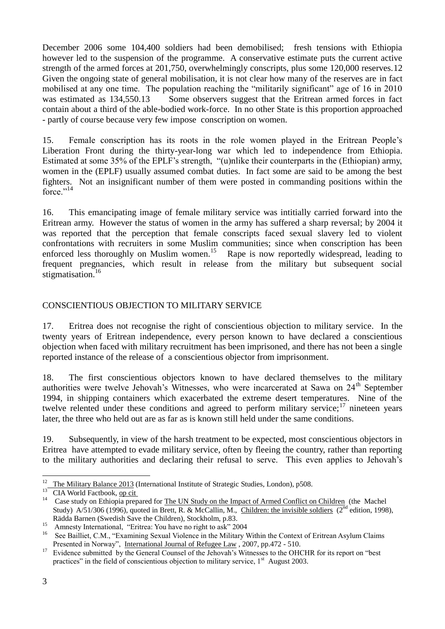December 2006 some 104,400 soldiers had been demobilised; fresh tensions with Ethiopia however led to the suspension of the programme. A conservative estimate puts the current active strength of the armed forces at 201,750, overwhelmingly conscripts, plus some 120,000 reserves.12 Given the ongoing state of general mobilisation, it is not clear how many of the reserves are in fact mobilised at any one time. The population reaching the "militarily significant" age of 16 in 2010 was estimated as 134,550.13 Some observers suggest that the Eritrean armed forces in fact contain about a third of the able-bodied work-force. In no other State is this proportion approached - partly of course because very few impose conscription on women.

15. Female conscription has its roots in the role women played in the Eritrean People's Liberation Front during the thirty-year-long war which led to independence from Ethiopia. Estimated at some 35% of the EPLF's strength, "(u)nlike their counterparts in the (Ethiopian) army, women in the (EPLF) usually assumed combat duties. In fact some are said to be among the best fighters. Not an insignificant number of them were posted in commanding positions within the force."<sup>14</sup>

16. This emancipating image of female military service was intitially carried forward into the Eritrean army. However the status of women in the army has suffered a sharp reversal; by 2004 it was reported that the perception that female conscripts faced sexual slavery led to violent confrontations with recruiters in some Muslim communities; since when conscription has been enforced less thoroughly on Muslim women.<sup>15</sup> Rape is now reportedly widespread, leading to frequent pregnancies, which result in release from the military but subsequent social stigmatisation.<sup>16</sup>

## CONSCIENTIOUS OBJECTION TO MILITARY SERVICE

17. Eritrea does not recognise the right of conscientious objection to military service.In the twenty years of Eritrean independence, every person known to have declared a conscientious objection when faced with military recruitment has been imprisoned, and there has not been a single reported instance of the release of a conscientious objector from imprisonment.

18. The first conscientious objectors known to have declared themselves to the military authorities were twelve Jehovah's Witnesses, who were incarcerated at Sawa on  $24<sup>th</sup>$  September 1994, in shipping containers which exacerbated the extreme desert temperatures. Nine of the twelve relented under these conditions and agreed to perform military service;  $17$  nineteen years later, the three who held out are as far as is known still held under the same conditions.

19. Subsequently, in view of the harsh treatment to be expected, most conscientious objectors in Eritrea have attempted to evade military service, often by fleeing the country, rather than reporting to the military authorities and declaring their refusal to serve. This even applies to Jehovah's

 $\overline{a}$  $12$  The Military Balance 2013 (International Institute of Strategic Studies, London), p508.

<sup>&</sup>lt;sup>13</sup> CIA World Factbook, op cit

<sup>&</sup>lt;sup>14</sup> Case study on Ethiopia prepared for <u>The UN Study on the Impact of Armed Conflict on Children</u> (the Machel Study) A/51/306 (1996), quoted in Brett, R. & McCallin, M., Children: the invisible soldiers ( $2<sup>nd</sup>$  edition, 1998), Rädda Barnen (Swedish Save the Children), Stockholm, p.83.

<sup>&</sup>lt;sup>15</sup> Amnesty International, "Eritrea: You have no right to ask" 2004

<sup>&</sup>lt;sup>16</sup> See Bailliet, C.M., "Examining Sexual Violence in the Military Within the Context of Eritrean Asylum Claims Presented in Norway", International Journal of Refugee Law , 2007, pp.472 - 510.

<sup>&</sup>lt;sup>17</sup> Evidence submitted by the General Counsel of the Jehovah's Witnesses to the OHCHR for its report on "best" practices" in the field of conscientious objection to military service,  $1<sup>st</sup>$  August 2003.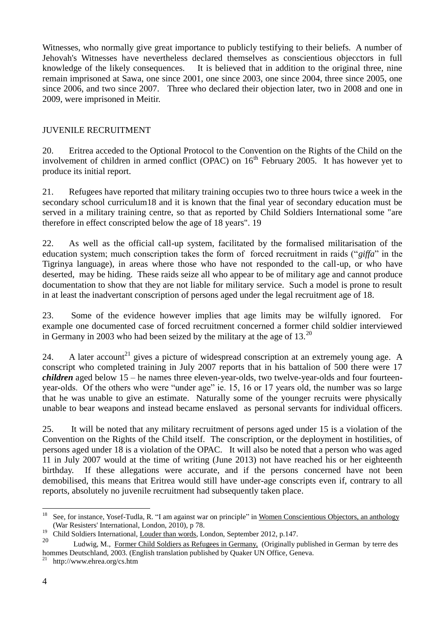Witnesses, who normally give great importance to publicly testifying to their beliefs. A number of Jehovah's Witnesses have nevertheless declared themselves as conscientious objecctors in full knowledge of the likely consequences. It is believed that in addition to the original three, nine remain imprisoned at Sawa, one since 2001, one since 2003, one since 2004, three since 2005, one since 2006, and two since 2007. Three who declared their objection later, two in 2008 and one in 2009, were imprisoned in Meitir.

# JUVENILE RECRUITMENT

20. Eritrea acceded to the Optional Protocol to the Convention on the Rights of the Child on the involvement of children in armed conflict (OPAC) on  $16<sup>th</sup>$  February 2005. It has however yet to produce its initial report.

21. Refugees have reported that military training occupies two to three hours twice a week in the secondary school curriculum18 and it is known that the final year of secondary education must be served in a military training centre, so that as reported by Child Soldiers International some "are therefore in effect conscripted below the age of 18 years". 19

22. As well as the official call-up system, facilitated by the formalised militarisation of the education system; much conscription takes the form of forced recruitment in raids ("*giffa*" in the Tigrinya language), in areas where those who have not responded to the call-up, or who have deserted, may be hiding. These raids seize all who appear to be of military age and cannot produce documentation to show that they are not liable for military service. Such a model is prone to result in at least the inadvertant conscription of persons aged under the legal recruitment age of 18.

23. Some of the evidence however implies that age limits may be wilfully ignored. For example one documented case of forced recruitment concerned a former child soldier interviewed in Germany in 2003 who had been seized by the military at the age of 13.<sup>20</sup>

24. A later account<sup>21</sup> gives a picture of widespread conscription at an extremely young age. A conscript who completed training in July 2007 reports that in his battalion of 500 there were 17 *children* aged below 15 – he names three eleven-year-olds, two twelve-year-olds and four fourteenyear-olds. Of the others who were "under age" ie. 15, 16 or 17 years old, the number was so large that he was unable to give an estimate. Naturally some of the younger recruits were physically unable to bear weapons and instead became enslaved as personal servants for individual officers.

25. It will be noted that any military recruitment of persons aged under 15 is a violation of the Convention on the Rights of the Child itself. The conscription, or the deployment in hostilities, of persons aged under 18 is a violation of the OPAC. It will also be noted that a person who was aged 11 in July 2007 would at the time of writing (June 2013) not have reached his or her eighteenth birthday. If these allegations were accurate, and if the persons concerned have not been demobilised, this means that Eritrea would still have under-age conscripts even if, contrary to all reports, absolutely no juvenile recruitment had subsequently taken place.

 $18\,$ <sup>18</sup> See, for instance, Yosef-Tudla, R. "I am against war on principle" in Women Conscientious Objectors, an anthology (War Resisters' International, London, 2010), p 78.

<sup>&</sup>lt;sup>19</sup> Child Soldiers International, Louder than words, London, September 2012, p.147.

<sup>20</sup> Ludwig, M., Former Child Soldiers as Refugees in Germany, (Originally published in German by terre des hommes Deutschland, 2003. (English translation published by Quaker UN Office, Geneva.

 $^{21}$  http://www.ehrea.org/cs.htm